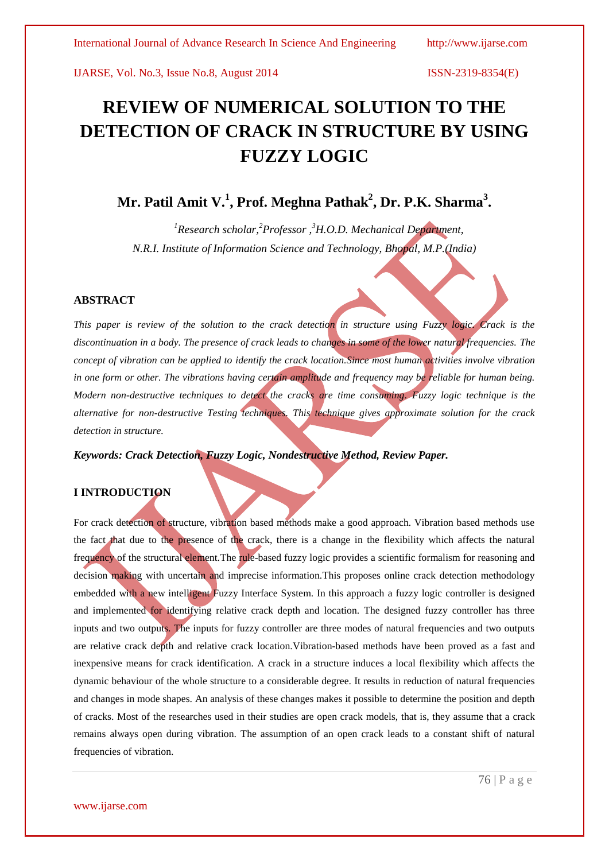# **REVIEW OF NUMERICAL SOLUTION TO THE DETECTION OF CRACK IN STRUCTURE BY USING FUZZY LOGIC**

# **Mr. Patil Amit V.<sup>1</sup> , Prof. Meghna Pathak<sup>2</sup> , Dr. P.K. Sharma<sup>3</sup> .**

*<sup>1</sup>Research scholar,<sup>2</sup>Professor , <sup>3</sup>H.O.D. Mechanical Department, N.R.I. Institute of Information Science and Technology, Bhopal, M.P.(India)*

## **ABSTRACT**

*This paper is review of the solution to the crack detection in structure using Fuzzy logic. Crack is the discontinuation in a body. The presence of crack leads to changes in some of the lower natural frequencies. The concept of vibration can be applied to identify the crack location. Since most human activities involve vibration in one form or other. The vibrations having certain amplitude and frequency may be reliable for human being. Modern non-destructive techniques to detect the cracks are time consuming. Fuzzy logic technique is the alternative for non-destructive Testing techniques. This technique gives approximate solution for the crack detection in structure.*

*Keywords: Crack Detection, Fuzzy Logic, Nondestructive Method, Review Paper.*

# **I INTRODUCTION**

For crack detection of structure, vibration based methods make a good approach. Vibration based methods use the fact that due to the presence of the crack, there is a change in the flexibility which affects the natural frequency of the structural element.The rule-based fuzzy logic provides a scientific formalism for reasoning and decision making with uncertain and imprecise information. This proposes online crack detection methodology embedded with a new intelligent Fuzzy Interface System. In this approach a fuzzy logic controller is designed and implemented for identifying relative crack depth and location. The designed fuzzy controller has three inputs and two outputs. The inputs for fuzzy controller are three modes of natural frequencies and two outputs are relative crack depth and relative crack location.Vibration-based methods have been proved as a fast and inexpensive means for crack identification. A crack in a structure induces a local flexibility which affects the dynamic behaviour of the whole structure to a considerable degree. It results in reduction of natural frequencies and changes in mode shapes. An analysis of these changes makes it possible to determine the position and depth of cracks. Most of the researches used in their studies are open crack models, that is, they assume that a crack remains always open during vibration. The assumption of an open crack leads to a constant shift of natural frequencies of vibration.

www.ijarse.com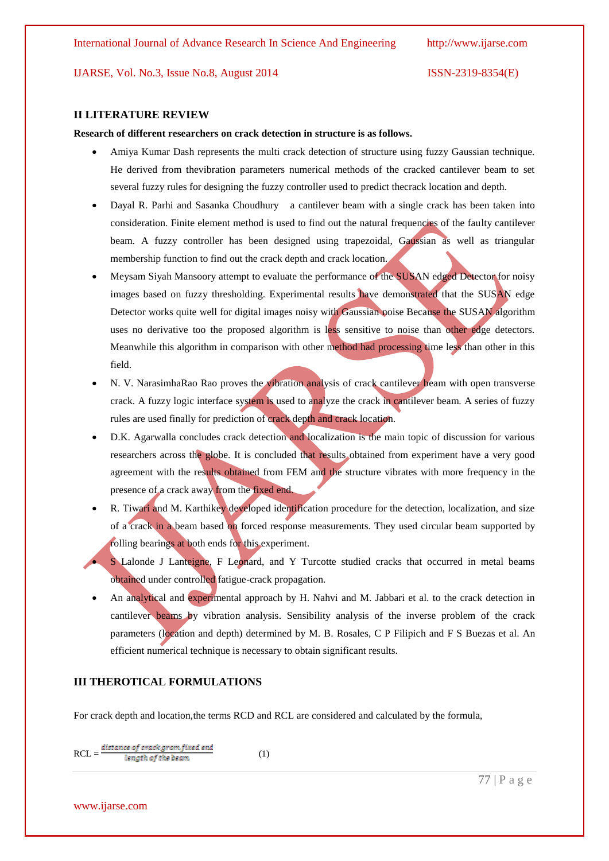#### **II LITERATURE REVIEW**

**Research of different researchers on crack detection in structure is as follows.**

- Amiya Kumar Dash represents the multi crack detection of structure using fuzzy Gaussian technique. He derived from thevibration parameters numerical methods of the cracked cantilever beam to set several fuzzy rules for designing the fuzzy controller used to predict thecrack location and depth.
- Dayal R. Parhi and Sasanka Choudhury a cantilever beam with a single crack has been taken into consideration. Finite element method is used to find out the natural frequencies of the faulty cantilever beam. A fuzzy controller has been designed using trapezoidal, Gaussian as well as triangular membership function to find out the crack depth and crack location.
- Meysam Siyah Mansoory attempt to evaluate the performance of the SUSAN edged Detector for noisy images based on fuzzy thresholding. Experimental results have demonstrated that the SUSAN edge Detector works quite well for digital images noisy with Gaussian noise Because the SUSAN algorithm uses no derivative too the proposed algorithm is less sensitive to noise than other edge detectors. Meanwhile this algorithm in comparison with other method had processing time less than other in this field.
- N. V. NarasimhaRao Rao proves the vibration analysis of crack cantilever beam with open transverse crack. A fuzzy logic interface system is used to analyze the crack in cantilever beam. A series of fuzzy rules are used finally for prediction of crack depth and crack location.
- D.K. Agarwalla concludes crack detection and localization is the main topic of discussion for various researchers across the globe. It is concluded that results obtained from experiment have a very good agreement with the results obtained from FEM and the structure vibrates with more frequency in the presence of a crack away from the fixed end.
- R. Tiwari and M. Karthikey developed identification procedure for the detection, localization, and size of a crack in a beam based on forced response measurements. They used circular beam supported by rolling bearings at both ends for this experiment.
- S Lalonde J Lanteigne, F Leonard, and Y Turcotte studied cracks that occurred in metal beams obtained under controlled fatigue-crack propagation.
- An analytical and experimental approach by H. Nahvi and M. Jabbari et al. to the crack detection in cantilever beams by vibration analysis. Sensibility analysis of the inverse problem of the crack parameters (location and depth) determined by M. B. Rosales, C P Filipich and F S Buezas et al. An efficient numerical technique is necessary to obtain significant results.

# **III THEROTICAL FORMULATIONS**

For crack depth and location,the terms RCD and RCL are considered and calculated by the formula,

 $RCL = \frac{distance\ of\ crack\ ground\ in\ the\ beam}$  (1)

www.ijarse.com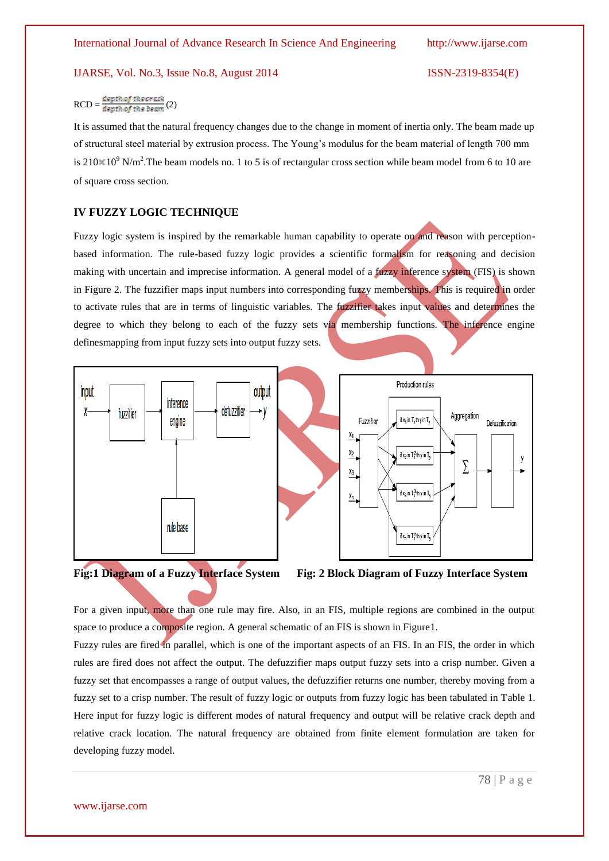# $RCD = \frac{depth\, of\, the\, crack}{depth\, of\, the\, beam}(2)$

It is assumed that the natural frequency changes due to the change in moment of inertia only. The beam made up of structural steel material by extrusion process. The Young's modulus for the beam material of length 700 mm is 210 $\times$ 10<sup>9</sup> N/m<sup>2</sup>. The beam models no. 1 to 5 is of rectangular cross section while beam model from 6 to 10 are of square cross section.

#### **IV FUZZY LOGIC TECHNIQUE**

Fuzzy logic system is inspired by the remarkable human capability to operate on and reason with perceptionbased information. The rule-based fuzzy logic provides a scientific formalism for reasoning and decision making with uncertain and imprecise information. A general model of a fuzzy inference system (FIS) is shown in Figure 2. The fuzzifier maps input numbers into corresponding fuzzy memberships. This is required in order to activate rules that are in terms of linguistic variables. The fuzzifier takes input values and determines the degree to which they belong to each of the fuzzy sets via membership functions. The inference engine definesmapping from input fuzzy sets into output fuzzy sets.







For a given input, more than one rule may fire. Also, in an FIS, multiple regions are combined in the output space to produce a composite region. A general schematic of an FIS is shown in Figure1.

Fuzzy rules are fired in parallel, which is one of the important aspects of an FIS. In an FIS, the order in which rules are fired does not affect the output. The defuzzifier maps output fuzzy sets into a crisp number. Given a fuzzy set that encompasses a range of output values, the defuzzifier returns one number, thereby moving from a fuzzy set to a crisp number. The result of fuzzy logic or outputs from fuzzy logic has been tabulated in Table 1. Here input for fuzzy logic is different modes of natural frequency and output will be relative crack depth and relative crack location. The natural frequency are obtained from finite element formulation are taken for developing fuzzy model.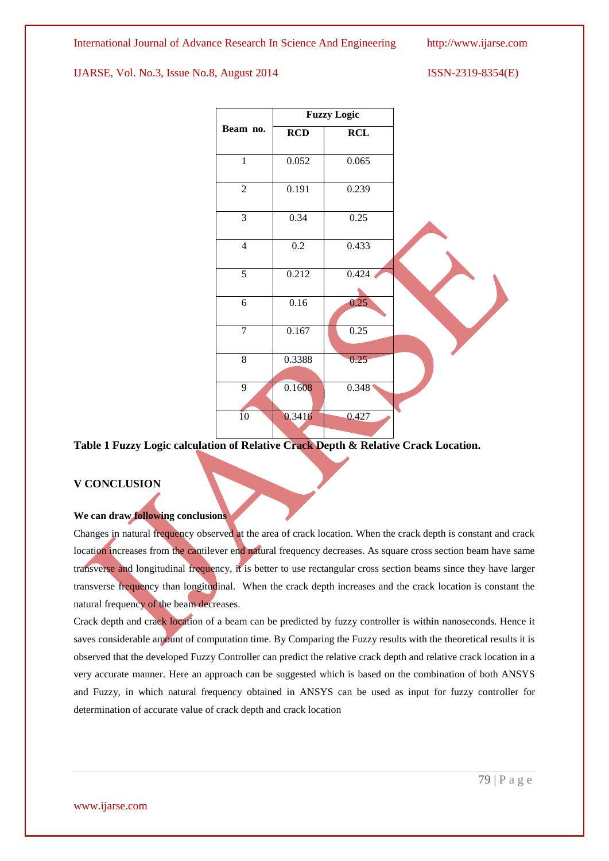

**Table 1 Fuzzy Logic calculation of Relative Crack Depth & Relative Crack Location.**

## **V CONCLUSION**

# **We can draw following conclusions**

Changes in natural frequency observed at the area of crack location. When the crack depth is constant and crack location increases from the cantilever end natural frequency decreases. As square cross section beam have same transverse and longitudinal frequency, it is better to use rectangular cross section beams since they have larger transverse frequency than longitudinal. When the crack depth increases and the crack location is constant the natural frequency of the beam decreases.

Crack depth and crack location of a beam can be predicted by fuzzy controller is within nanoseconds. Hence it saves considerable amount of computation time. By Comparing the Fuzzy results with the theoretical results it is observed that the developed Fuzzy Controller can predict the relative crack depth and relative crack location in a very accurate manner. Here an approach can be suggested which is based on the combination of both ANSYS and Fuzzy, in which natural frequency obtained in ANSYS can be used as input for fuzzy controller for determination of accurate value of crack depth and crack location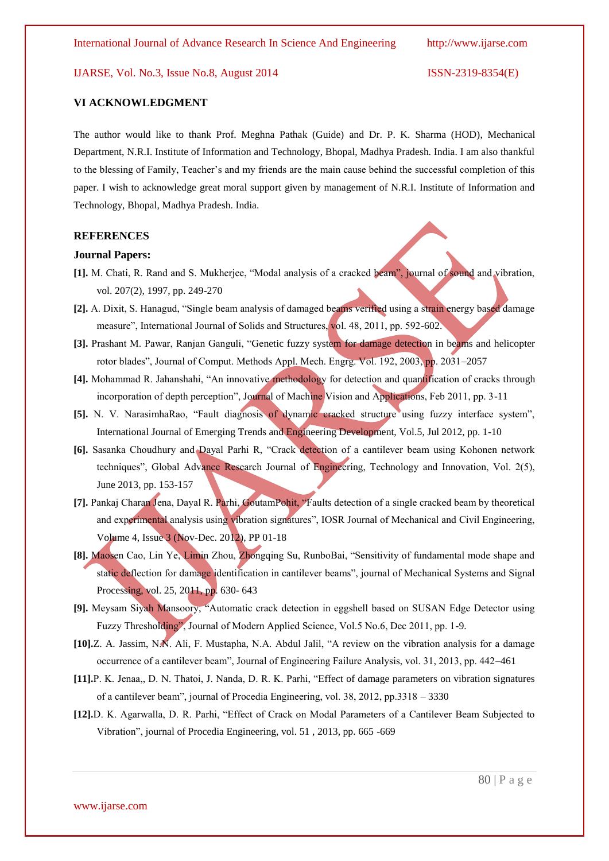#### **VI ACKNOWLEDGMENT**

The author would like to thank Prof. Meghna Pathak (Guide) and Dr. P. K. Sharma (HOD), Mechanical Department, N.R.I. Institute of Information and Technology, Bhopal, Madhya Pradesh. India. I am also thankful to the blessing of Family, Teacher's and my friends are the main cause behind the successful completion of this paper. I wish to acknowledge great moral support given by management of N.R.I. Institute of Information and Technology, Bhopal, Madhya Pradesh. India.

#### **REFERENCES**

#### **Journal Papers:**

- **[1].** M. Chati, R. Rand and S. Mukherjee, "Modal analysis of a cracked beam", journal of sound and vibration, vol. 207(2), 1997, pp. 249-270
- **[2].** A. Dixit, S. Hanagud, "Single beam analysis of damaged beams verified using a strain energy based damage measure", International Journal of Solids and Structures, vol. 48, 2011, pp. 592-602.
- **[3].** Prashant M. Pawar, Ranjan Ganguli, "Genetic fuzzy system for damage detection in beams and helicopter rotor blades", Journal of Comput. Methods Appl. Mech. Engrg. Vol. 192, 2003, pp. 2031–2057
- **[4].** Mohammad R. Jahanshahi, "An innovative methodology for detection and quantification of cracks through incorporation of depth perception", Journal of Machine Vision and Applications, Feb 2011, pp. 3-11
- [5]. N. V. NarasimhaRao, "Fault diagnosis of dynamic cracked structure using fuzzy interface system", International Journal of Emerging Trends and Engineering Development, Vol.5, Jul 2012, pp. 1-10
- **[6].** Sasanka Choudhury and Dayal Parhi R, "Crack detection of a cantilever beam using Kohonen network techniques", Global Advance Research Journal of Engineering, Technology and Innovation, Vol. 2(5), June 2013, pp. 153-157
- **[7].** Pankaj Charan Jena, Dayal R. Parhi, GoutamPohit, "Faults detection of a single cracked beam by theoretical and experimental analysis using vibration signatures", IOSR Journal of Mechanical and Civil Engineering, Volume 4, Issue 3 (Nov-Dec. 2012), PP 01-18
- **[8].** Maosen Cao, Lin Ye, Limin Zhou, Zhongqing Su, RunboBai, "Sensitivity of fundamental mode shape and static deflection for damage identification in cantilever beams", journal of Mechanical Systems and Signal Processing, vol. 25, 2011, pp. 630- 643
- **[9].** Meysam Siyah Mansoory, "Automatic crack detection in eggshell based on SUSAN Edge Detector using Fuzzy Thresholding", Journal of Modern Applied Science, Vol.5 No.6, Dec 2011, pp. 1-9.
- **[10].**Z. A. Jassim, N.N. Ali, F. Mustapha, N.A. Abdul Jalil, "A review on the vibration analysis for a damage occurrence of a cantilever beam", Journal of Engineering Failure Analysis, vol. 31, 2013, pp. 442–461
- **[11].**P. K. Jenaa,, D. N. Thatoi, J. Nanda, D. R. K. Parhi, "Effect of damage parameters on vibration signatures of a cantilever beam", journal of Procedia Engineering, vol. 38, 2012, pp.3318 – 3330
- **[12].**D. K. Agarwalla, D. R. Parhi, "Effect of Crack on Modal Parameters of a Cantilever Beam Subjected to Vibration", journal of Procedia Engineering, vol. 51 , 2013, pp. 665 -669